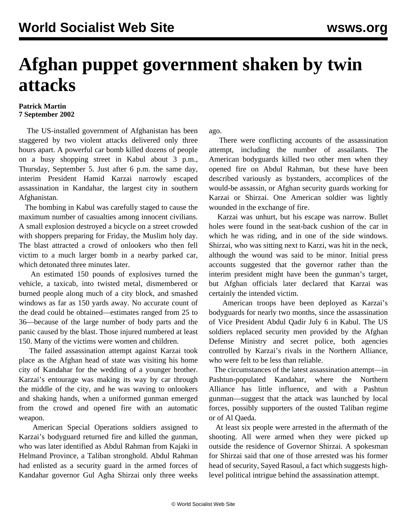## **Afghan puppet government shaken by twin attacks**

## **Patrick Martin 7 September 2002**

 The US-installed government of Afghanistan has been staggered by two violent attacks delivered only three hours apart. A powerful car bomb killed dozens of people on a busy shopping street in Kabul about 3 p.m., Thursday, September 5. Just after 6 p.m. the same day, interim President Hamid Karzai narrowly escaped assassination in Kandahar, the largest city in southern Afghanistan.

 The bombing in Kabul was carefully staged to cause the maximum number of casualties among innocent civilians. A small explosion destroyed a bicycle on a street crowded with shoppers preparing for Friday, the Muslim holy day. The blast attracted a crowd of onlookers who then fell victim to a much larger bomb in a nearby parked car, which detonated three minutes later.

 An estimated 150 pounds of explosives turned the vehicle, a taxicab, into twisted metal, dismembered or burned people along much of a city block, and smashed windows as far as 150 yards away. No accurate count of the dead could be obtained—estimates ranged from 25 to 36—because of the large number of body parts and the panic caused by the blast. Those injured numbered at least 150. Many of the victims were women and children.

 The failed assassination attempt against Karzai took place as the Afghan head of state was visiting his home city of Kandahar for the wedding of a younger brother. Karzai's entourage was making its way by car through the middle of the city, and he was waving to onlookers and shaking hands, when a uniformed gunman emerged from the crowd and opened fire with an automatic weapon.

 American Special Operations soldiers assigned to Karzai's bodyguard returned fire and killed the gunman, who was later identified as Abdul Rahman from Kajaki in Helmand Province, a Taliban stronghold. Abdul Rahman had enlisted as a security guard in the armed forces of Kandahar governor Gul Agha Shirzai only three weeks

ago.

 There were conflicting accounts of the assassination attempt, including the number of assailants. The American bodyguards killed two other men when they opened fire on Abdul Rahman, but these have been described variously as bystanders, accomplices of the would-be assassin, or Afghan security guards working for Karzai or Shirzai. One American soldier was lightly wounded in the exchange of fire.

 Karzai was unhurt, but his escape was narrow. Bullet holes were found in the seat-back cushion of the car in which he was riding, and in one of the side windows. Shirzai, who was sitting next to Karzi, was hit in the neck, although the wound was said to be minor. Initial press accounts suggested that the governor rather than the interim president might have been the gunman's target, but Afghan officials later declared that Karzai was certainly the intended victim.

 American troops have been deployed as Karzai's bodyguards for nearly two months, since the assassination of Vice President Abdul Qadir July 6 in Kabul. The US soldiers replaced security men provided by the Afghan Defense Ministry and secret police, both agencies controlled by Karzai's rivals in the Northern Alliance, who were felt to be less than reliable.

 The circumstances of the latest assassination attempt—in Pashtun-populated Kandahar, where the Northern Alliance has little influence, and with a Pashtun gunman—suggest that the attack was launched by local forces, possibly supporters of the ousted Taliban regime or of Al Qaeda.

 At least six people were arrested in the aftermath of the shooting. All were armed when they were picked up outside the residence of Governor Shirzai. A spokesman for Shirzai said that one of those arrested was his former head of security, Sayed Rasoul, a fact which suggests highlevel political intrigue behind the assassination attempt.